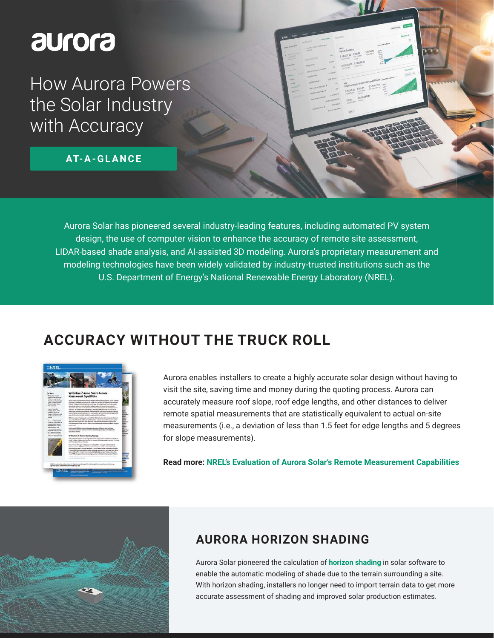# **Surora**

How Aurora Powers the Solar Industry with Accuracy

**AT- A - G L A N C E**

Aurora Solar has pioneered several industry-leading features, including automated PV system design, the use of computer vision to enhance the accuracy of remote site assessment, LIDAR-based shade analysis, and AI-assisted 3D modeling. Aurora's proprietary measurement and modeling technologies have been widely validated by industry-trusted institutions such as the U.S. Department of Energy's National Renewable Energy Laboratory (NREL).

#### **ACCURACY WITHOUT THE TRUCK ROLL**



Aurora enables installers to create a highly accurate solar design without having to visit the site, saving time and money during the quoting process. Aurora can accurately measure roof slope, roof edge lengths, and other distances to deliver remote spatial measurements that are statistically equivalent to actual on-site measurements (i.e., a deviation of less than 1.5 feet for edge lengths and 5 degrees for slope measurements).

**Read more: [NREL's Evaluation of Aurora Solar's Remote Measurement Capabilities](https://www.aurorasolar.com/wp-content/uploads/2022/05/NREL-Validation-of-Aurora-Solar-Remote-Measurement-Capabilities-.pdf)**



#### **AURORA HORIZON SHADING**

Aurora Solar pioneered the calculation of **[horizon shading](https://www.aurorasolar.com/blog/what-is-horizon-shading-and-why-is-it-important-for-solar)** in solar software to enable the automatic modeling of shade due to the terrain surrounding a site. With horizon shading, installers no longer need to import terrain data to get more accurate assessment of shading and improved solar production estimates.